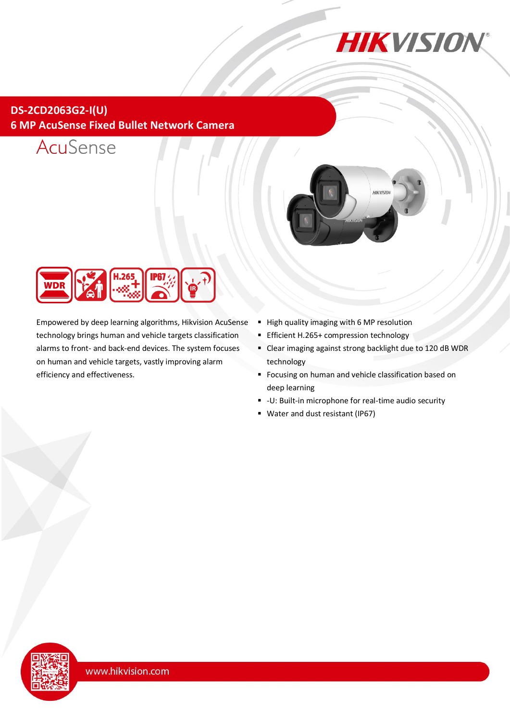

## **DS-2CD2063G2-I(U) 6 MP AcuSense Fixed Bullet Network Camera**







Empowered by deep learning algorithms, Hikvision AcuSense technology brings human and vehicle targets classification alarms to front- and back-end devices. The system focuses on human and vehicle targets, vastly improving alarm efficiency and effectiveness.

- High quality imaging with 6 MP resolution
- **Efficient H.265+ compression technology**
- Clear imaging against strong backlight due to 120 dB WDR technology
- **Focusing on human and vehicle classification based on** deep learning
- -U: Built-in microphone for real-time audio security
- Water and dust resistant (IP67)

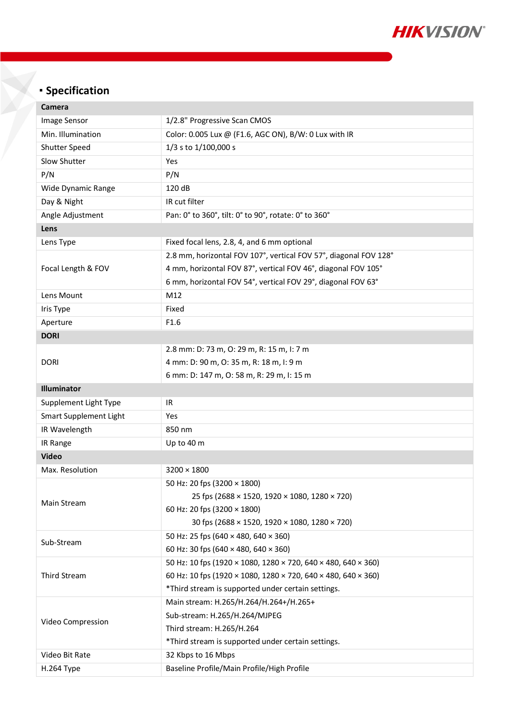

# **Specification**

| Camera                        |                                                                          |  |
|-------------------------------|--------------------------------------------------------------------------|--|
| Image Sensor                  | 1/2.8" Progressive Scan CMOS                                             |  |
| Min. Illumination             | Color: 0.005 Lux @ (F1.6, AGC ON), B/W: 0 Lux with IR                    |  |
| <b>Shutter Speed</b>          | 1/3 s to 1/100,000 s                                                     |  |
| Slow Shutter                  | Yes                                                                      |  |
| P/N                           | P/N                                                                      |  |
| Wide Dynamic Range            | 120 dB                                                                   |  |
| Day & Night                   | IR cut filter                                                            |  |
| Angle Adjustment              | Pan: 0° to 360°, tilt: 0° to 90°, rotate: 0° to 360°                     |  |
| Lens                          |                                                                          |  |
| Lens Type                     | Fixed focal lens, 2.8, 4, and 6 mm optional                              |  |
| Focal Length & FOV            | 2.8 mm, horizontal FOV 107°, vertical FOV 57°, diagonal FOV 128°         |  |
|                               | 4 mm, horizontal FOV 87°, vertical FOV 46°, diagonal FOV 105°            |  |
|                               | 6 mm, horizontal FOV 54°, vertical FOV 29°, diagonal FOV 63°             |  |
| Lens Mount                    | M12                                                                      |  |
| Iris Type                     | Fixed                                                                    |  |
| Aperture                      | F1.6                                                                     |  |
| <b>DORI</b>                   |                                                                          |  |
|                               | 2.8 mm: D: 73 m, O: 29 m, R: 15 m, I: 7 m                                |  |
| <b>DORI</b>                   | 4 mm: D: 90 m, O: 35 m, R: 18 m, I: 9 m                                  |  |
|                               | 6 mm: D: 147 m, O: 58 m, R: 29 m, I: 15 m                                |  |
| Illuminator                   |                                                                          |  |
| Supplement Light Type         | <b>IR</b>                                                                |  |
| <b>Smart Supplement Light</b> | Yes                                                                      |  |
| IR Wavelength                 | 850 nm                                                                   |  |
| IR Range                      | Up to 40 m                                                               |  |
| <b>Video</b>                  |                                                                          |  |
| Max. Resolution               | $3200 \times 1800$                                                       |  |
| Main Stream                   | 50 Hz: 20 fps (3200 × 1800)                                              |  |
|                               | 25 fps (2688 × 1520, 1920 × 1080, 1280 × 720)                            |  |
|                               | 60 Hz: 20 fps (3200 × 1800)                                              |  |
|                               | 30 fps (2688 × 1520, 1920 × 1080, 1280 × 720)                            |  |
| Sub-Stream                    | 50 Hz: 25 fps (640 × 480, 640 × 360)                                     |  |
|                               | 60 Hz: 30 fps (640 $\times$ 480, 640 $\times$ 360)                       |  |
| Third Stream                  | 50 Hz: 10 fps (1920 × 1080, 1280 × 720, 640 × 480, 640 × 360)            |  |
|                               | 60 Hz: 10 fps (1920 × 1080, 1280 × 720, 640 × 480, 640 × 360)            |  |
|                               | *Third stream is supported under certain settings.                       |  |
| Video Compression             | Main stream: H.265/H.264/H.264+/H.265+                                   |  |
|                               | Sub-stream: H.265/H.264/MJPEG                                            |  |
|                               | Third stream: H.265/H.264                                                |  |
| Video Bit Rate                | *Third stream is supported under certain settings.<br>32 Kbps to 16 Mbps |  |
|                               |                                                                          |  |
| H.264 Type                    | Baseline Profile/Main Profile/High Profile                               |  |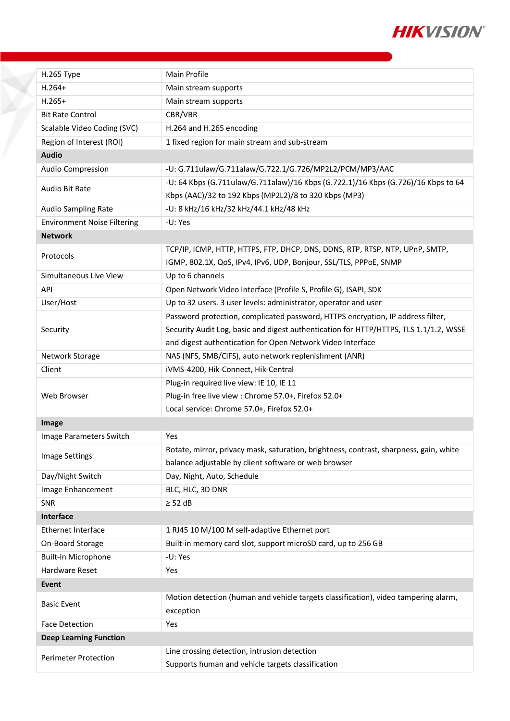

| H.265 Type                         | Main Profile                                                                           |  |
|------------------------------------|----------------------------------------------------------------------------------------|--|
| $H.264+$                           | Main stream supports                                                                   |  |
| $H.265+$                           | Main stream supports                                                                   |  |
| <b>Bit Rate Control</b>            | CBR/VBR                                                                                |  |
| Scalable Video Coding (SVC)        | H.264 and H.265 encoding                                                               |  |
| Region of Interest (ROI)           | 1 fixed region for main stream and sub-stream                                          |  |
| <b>Audio</b>                       |                                                                                        |  |
| Audio Compression                  | -U: G.711ulaw/G.711alaw/G.722.1/G.726/MP2L2/PCM/MP3/AAC                                |  |
| Audio Bit Rate                     | -U: 64 Kbps (G.711ulaw/G.711alaw)/16 Kbps (G.722.1)/16 Kbps (G.726)/16 Kbps to 64      |  |
|                                    | Kbps (AAC)/32 to 192 Kbps (MP2L2)/8 to 320 Kbps (MP3)                                  |  |
| <b>Audio Sampling Rate</b>         | -U: 8 kHz/16 kHz/32 kHz/44.1 kHz/48 kHz                                                |  |
| <b>Environment Noise Filtering</b> | -U: Yes                                                                                |  |
| <b>Network</b>                     |                                                                                        |  |
| Protocols                          | TCP/IP, ICMP, HTTP, HTTPS, FTP, DHCP, DNS, DDNS, RTP, RTSP, NTP, UPnP, SMTP,           |  |
|                                    | IGMP, 802.1X, QoS, IPv4, IPv6, UDP, Bonjour, SSL/TLS, PPPoE, SNMP                      |  |
| Simultaneous Live View             | Up to 6 channels                                                                       |  |
| API                                | Open Network Video Interface (Profile S, Profile G), ISAPI, SDK                        |  |
| User/Host                          | Up to 32 users. 3 user levels: administrator, operator and user                        |  |
|                                    | Password protection, complicated password, HTTPS encryption, IP address filter,        |  |
| Security                           | Security Audit Log, basic and digest authentication for HTTP/HTTPS, TLS 1.1/1.2, WSSE  |  |
|                                    | and digest authentication for Open Network Video Interface                             |  |
| Network Storage                    | NAS (NFS, SMB/CIFS), auto network replenishment (ANR)                                  |  |
| Client                             | iVMS-4200, Hik-Connect, Hik-Central                                                    |  |
|                                    | Plug-in required live view: IE 10, IE 11                                               |  |
| Web Browser                        | Plug-in free live view : Chrome 57.0+, Firefox 52.0+                                   |  |
|                                    | Local service: Chrome 57.0+, Firefox 52.0+                                             |  |
| Image                              |                                                                                        |  |
| Image Parameters Switch            | Yes                                                                                    |  |
| <b>Image Settings</b>              | Rotate, mirror, privacy mask, saturation, brightness, contrast, sharpness, gain, white |  |
|                                    | balance adjustable by client software or web browser                                   |  |
| Day/Night Switch                   | Day, Night, Auto, Schedule                                                             |  |
| Image Enhancement                  | BLC, HLC, 3D DNR                                                                       |  |
| <b>SNR</b>                         | $\geq$ 52 dB                                                                           |  |
| Interface                          |                                                                                        |  |
| Ethernet Interface                 | 1 RJ45 10 M/100 M self-adaptive Ethernet port                                          |  |
| On-Board Storage                   | Built-in memory card slot, support microSD card, up to 256 GB                          |  |
| <b>Built-in Microphone</b>         | -U: Yes                                                                                |  |
| Hardware Reset                     | Yes                                                                                    |  |
| Event                              |                                                                                        |  |
| <b>Basic Event</b>                 | Motion detection (human and vehicle targets classification), video tampering alarm,    |  |
|                                    | exception                                                                              |  |
| <b>Face Detection</b>              | Yes                                                                                    |  |
| <b>Deep Learning Function</b>      |                                                                                        |  |
| <b>Perimeter Protection</b>        | Line crossing detection, intrusion detection                                           |  |
|                                    | Supports human and vehicle targets classification                                      |  |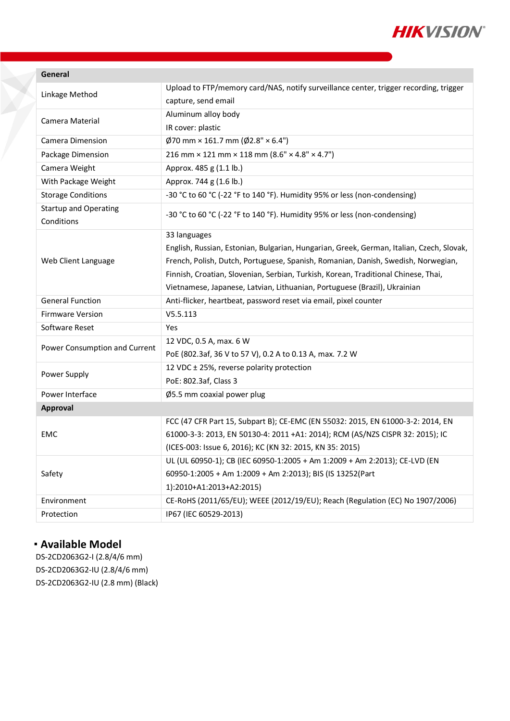

| Linkage Method                             | Upload to FTP/memory card/NAS, notify surveillance center, trigger recording, trigger    |
|--------------------------------------------|------------------------------------------------------------------------------------------|
|                                            | capture, send email                                                                      |
| Camera Material                            | Aluminum alloy body                                                                      |
|                                            | IR cover: plastic                                                                        |
| Camera Dimension                           | $\emptyset$ 70 mm × 161.7 mm ( $\emptyset$ 2.8" × 6.4")                                  |
| Package Dimension                          | 216 mm $\times$ 121 mm $\times$ 118 mm (8.6" $\times$ 4.8" $\times$ 4.7")                |
| Camera Weight                              | Approx. 485 g (1.1 lb.)                                                                  |
| With Package Weight                        | Approx. 744 g (1.6 lb.)                                                                  |
| <b>Storage Conditions</b>                  | -30 °C to 60 °C (-22 °F to 140 °F). Humidity 95% or less (non-condensing)                |
| <b>Startup and Operating</b><br>Conditions | -30 °C to 60 °C (-22 °F to 140 °F). Humidity 95% or less (non-condensing)                |
| Web Client Language                        | 33 languages                                                                             |
|                                            | English, Russian, Estonian, Bulgarian, Hungarian, Greek, German, Italian, Czech, Slovak, |
|                                            | French, Polish, Dutch, Portuguese, Spanish, Romanian, Danish, Swedish, Norwegian,        |
|                                            | Finnish, Croatian, Slovenian, Serbian, Turkish, Korean, Traditional Chinese, Thai,       |
|                                            | Vietnamese, Japanese, Latvian, Lithuanian, Portuguese (Brazil), Ukrainian                |
| <b>General Function</b>                    | Anti-flicker, heartbeat, password reset via email, pixel counter                         |
| <b>Firmware Version</b>                    | V5.5.113                                                                                 |
| Software Reset                             | Yes                                                                                      |
| Power Consumption and Current              | 12 VDC, 0.5 A, max. 6 W                                                                  |
|                                            | PoE (802.3af, 36 V to 57 V), 0.2 A to 0.13 A, max. 7.2 W                                 |
| Power Supply                               | 12 VDC ± 25%, reverse polarity protection                                                |
|                                            | PoE: 802.3af, Class 3                                                                    |
| Power Interface                            | Ø5.5 mm coaxial power plug                                                               |
| Approval                                   |                                                                                          |
| <b>EMC</b>                                 | FCC (47 CFR Part 15, Subpart B); CE-EMC (EN 55032: 2015, EN 61000-3-2: 2014, EN          |
|                                            | 61000-3-3: 2013, EN 50130-4: 2011 +A1: 2014); RCM (AS/NZS CISPR 32: 2015); IC            |
|                                            | (ICES-003: Issue 6, 2016); KC (KN 32: 2015, KN 35: 2015)                                 |
| Safety                                     | UL (UL 60950-1); CB (IEC 60950-1:2005 + Am 1:2009 + Am 2:2013); CE-LVD (EN               |
|                                            | 60950-1:2005 + Am 1:2009 + Am 2:2013); BIS (IS 13252(Part                                |
|                                            | 1):2010+A1:2013+A2:2015)                                                                 |
| Environment                                | CE-RoHS (2011/65/EU); WEEE (2012/19/EU); Reach (Regulation (EC) No 1907/2006)            |
| Protection                                 | IP67 (IEC 60529-2013)                                                                    |

#### **Available Model**

DS-2CD2063G2-I (2.8/4/6 mm) DS-2CD2063G2-IU (2.8/4/6 mm) DS-2CD2063G2-IU (2.8 mm) (Black)